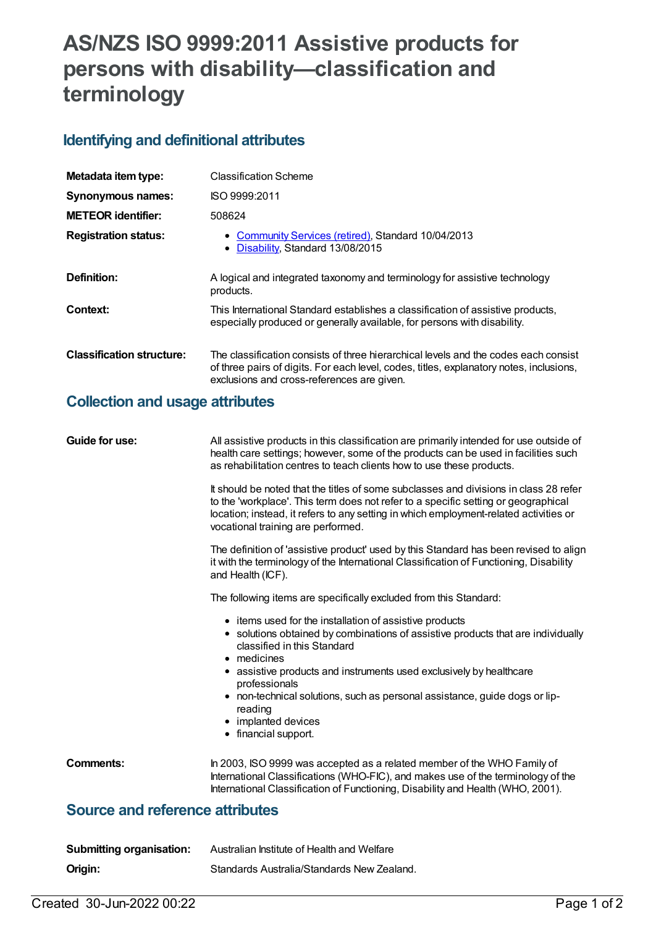## **AS/NZS ISO 9999:2011 Assistive products for persons with disability—classification and terminology**

## **Identifying and definitional attributes**

| Metadata item type:              | <b>Classification Scheme</b>                                                                                                                                                                                                 |
|----------------------------------|------------------------------------------------------------------------------------------------------------------------------------------------------------------------------------------------------------------------------|
| Synonymous names:                | ISO 9999:2011                                                                                                                                                                                                                |
| <b>METEOR</b> identifier:        | 508624                                                                                                                                                                                                                       |
| <b>Registration status:</b>      | • Community Services (retired), Standard 10/04/2013<br>Disability, Standard 13/08/2015<br>٠                                                                                                                                  |
| Definition:                      | A logical and integrated taxonomy and terminology for assistive technology<br>products.                                                                                                                                      |
| Context:                         | This International Standard establishes a classification of assistive products,<br>especially produced or generally available, for persons with disability.                                                                  |
| <b>Classification structure:</b> | The classification consists of three hierarchical levels and the codes each consist<br>of three pairs of digits. For each level, codes, titles, explanatory notes, inclusions,<br>exclusions and cross-references are given. |

## **Collection and usage attributes**

| Guide for use:                         | All assistive products in this classification are primarily intended for use outside of<br>health care settings; however, some of the products can be used in facilities such<br>as rehabilitation centres to teach clients how to use these products.                                                                                                                                                                    |
|----------------------------------------|---------------------------------------------------------------------------------------------------------------------------------------------------------------------------------------------------------------------------------------------------------------------------------------------------------------------------------------------------------------------------------------------------------------------------|
|                                        | It should be noted that the titles of some subclasses and divisions in class 28 refer<br>to the 'workplace'. This term does not refer to a specific setting or geographical<br>location; instead, it refers to any setting in which employment-related activities or<br>vocational training are performed.                                                                                                                |
|                                        | The definition of 'assistive product' used by this Standard has been revised to align<br>it with the terminology of the International Classification of Functioning, Disability<br>and Health (ICF).                                                                                                                                                                                                                      |
|                                        | The following items are specifically excluded from this Standard:                                                                                                                                                                                                                                                                                                                                                         |
|                                        | • items used for the installation of assistive products<br>• solutions obtained by combinations of assistive products that are individually<br>classified in this Standard<br>• medicines<br>• assistive products and instruments used exclusively by healthcare<br>professionals<br>• non-technical solutions, such as personal assistance, guide dogs or lip-<br>reading<br>• implanted devices<br>• financial support. |
| <b>Comments:</b>                       | In 2003, ISO 9999 was accepted as a related member of the WHO Family of<br>International Classifications (WHO-FIC), and makes use of the terminology of the<br>International Classification of Functioning, Disability and Health (WHO, 2001).                                                                                                                                                                            |
| <b>Source and reference attributes</b> |                                                                                                                                                                                                                                                                                                                                                                                                                           |
| <b>Submitting organisation:</b>        | Australian Institute of Health and Welfare                                                                                                                                                                                                                                                                                                                                                                                |
| Origin:                                | Standards Australia/Standards New Zealand.                                                                                                                                                                                                                                                                                                                                                                                |